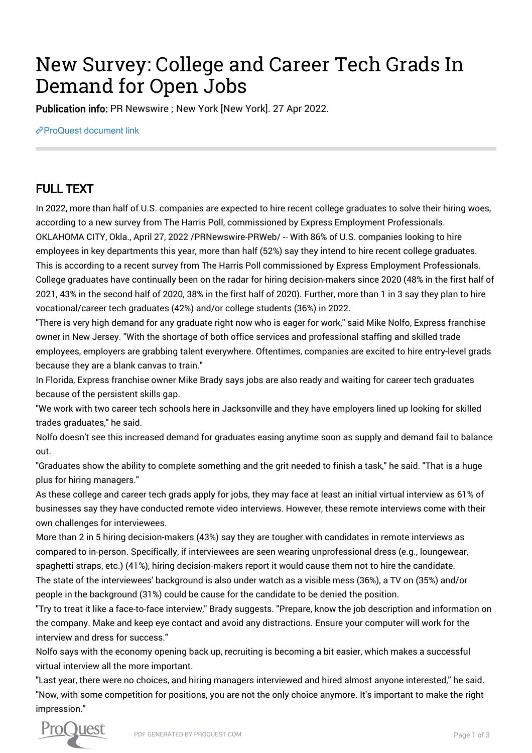## New Survey: College and Career Tech Grads In Demand for Open Jobs

Publication info: PR Newswire ; New York [New York]. 27 Apr 2022.

[ProQuest document link](https://www.proquest.com/wire-feeds/new-survey-college-career-tech-grads-demand-open/docview/2655515307/se-2?accountid=44910)

## FULL TEXT

In 2022, more than half of U.S. companies are expected to hire recent college graduates to solve their hiring woes, according to a new survey from The Harris Poll, commissioned by Express Employment Professionals. OKLAHOMA CITY, Okla., April 27, 2022 /PRNewswire-PRWeb/ -- With 86% of U.S. companies looking to hire employees in key departments this year, more than half (52%) say they intend to hire recent college graduates. This is according to a recent survey from The Harris Poll commissioned by Express Employment Professionals. College graduates have continually been on the radar for hiring decision-makers since 2020 (48% in the first half of 2021, 43% in the second half of 2020, 38% in the first half of 2020). Further, more than 1 in 3 say they plan to hire vocational/career tech graduates (42%) and/or college students (36%) in 2022.

"There is very high demand for any graduate right now who is eager for work," said Mike Nolfo, Express franchise owner in New Jersey. "With the shortage of both office services and professional staffing and skilled trade employees, employers are grabbing talent everywhere. Oftentimes, companies are excited to hire entry-level grads because they are a blank canvas to train."

In Florida, Express franchise owner Mike Brady says jobs are also ready and waiting for career tech graduates because of the persistent skills gap.

"We work with two career tech schools here in Jacksonville and they have employers lined up looking for skilled trades graduates," he said.

Nolfo doesn't see this increased demand for graduates easing anytime soon as supply and demand fail to balance out.

"Graduates show the ability to complete something and the grit needed to finish a task," he said. "That is a huge plus for hiring managers."

As these college and career tech grads apply for jobs, they may face at least an initial virtual interview as 61% of businesses say they have conducted remote video interviews. However, these remote interviews come with their own challenges for interviewees.

More than 2 in 5 hiring decision-makers (43%) say they are tougher with candidates in remote interviews as compared to in-person. Specifically, if interviewees are seen wearing unprofessional dress (e.g., loungewear, spaghetti straps, etc.) (41%), hiring decision-makers report it would cause them not to hire the candidate. The state of the interviewees' background is also under watch as a visible mess (36%), a TV on (35%) and/or people in the background (31%) could be cause for the candidate to be denied the position.

"Try to treat it like a face-to-face interview," Brady suggests. "Prepare, know the job description and information on the company. Make and keep eye contact and avoid any distractions. Ensure your computer will work for the interview and dress for success."

Nolfo says with the economy opening back up, recruiting is becoming a bit easier, which makes a successful virtual interview all the more important.

"Last year, there were no choices, and hiring managers interviewed and hired almost anyone interested," he said. "Now, with some competition for positions, you are not the only choice anymore. It's important to make the right impression."

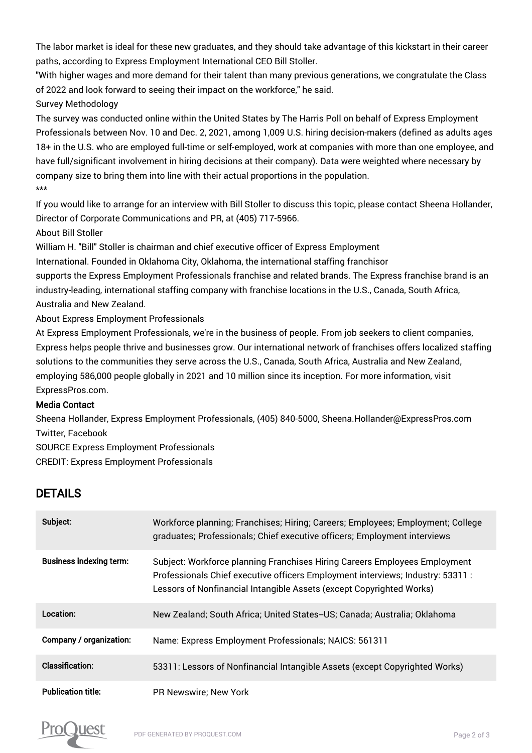The labor market is ideal for these new graduates, and they should take advantage of this kickstart in their career paths, according to Express Employment International CEO Bill Stoller.

"With higher wages and more demand for their talent than many previous generations, we congratulate the Class of 2022 and look forward to seeing their impact on the workforce," he said.

Survey Methodology

The survey was conducted online within the United States by The Harris Poll on behalf of Express Employment Professionals between Nov. 10 and Dec. 2, 2021, among 1,009 U.S. hiring decision-makers (defined as adults ages 18+ in the U.S. who are employed full-time or self-employed, work at companies with more than one employee, and have full/significant involvement in hiring decisions at their company). Data were weighted where necessary by company size to bring them into line with their actual proportions in the population. \*\*\*

If you would like to arrange for an interview with Bill Stoller to discuss this topic, please contact Sheena Hollander, Director of Corporate Communications and PR, at (405) 717-5966.

About Bill Stoller

William H. "Bill" Stoller is chairman and chief executive officer of Express Employment

International. Founded in Oklahoma City, Oklahoma, the international staffing franchisor

supports the Express Employment Professionals franchise and related brands. The Express franchise brand is an industry-leading, international staffing company with franchise locations in the U.S., Canada, South Africa, Australia and New Zealand.

About Express Employment Professionals

At Express Employment Professionals, we're in the business of people. From job seekers to client companies, Express helps people thrive and businesses grow. Our international network of franchises offers localized staffing solutions to the communities they serve across the U.S., Canada, South Africa, Australia and New Zealand, employing 586,000 people globally in 2021 and 10 million since its inception. For more information, visit ExpressPros.com.

## Media Contact

Sheena Hollander, Express Employment Professionals, (405) 840-5000, Sheena.Hollander@ExpressPros.com Twitter, Facebook

SOURCE Express Employment Professionals

CREDIT: Express Employment Professionals

## DETAILS

| Subject:                       | Workforce planning; Franchises; Hiring; Careers; Employees; Employment; College<br>graduates; Professionals; Chief executive officers; Employment interviews                                                                          |
|--------------------------------|---------------------------------------------------------------------------------------------------------------------------------------------------------------------------------------------------------------------------------------|
| <b>Business indexing term:</b> | Subject: Workforce planning Franchises Hiring Careers Employees Employment<br>Professionals Chief executive officers Employment interviews; Industry: 53311 :<br>Lessors of Nonfinancial Intangible Assets (except Copyrighted Works) |
| Location:                      | New Zealand; South Africa; United States--US; Canada; Australia; Oklahoma                                                                                                                                                             |
| Company / organization:        | Name: Express Employment Professionals; NAICS: 561311                                                                                                                                                                                 |
| <b>Classification:</b>         | 53311: Lessors of Nonfinancial Intangible Assets (except Copyrighted Works)                                                                                                                                                           |
| <b>Publication title:</b>      | PR Newswire; New York                                                                                                                                                                                                                 |